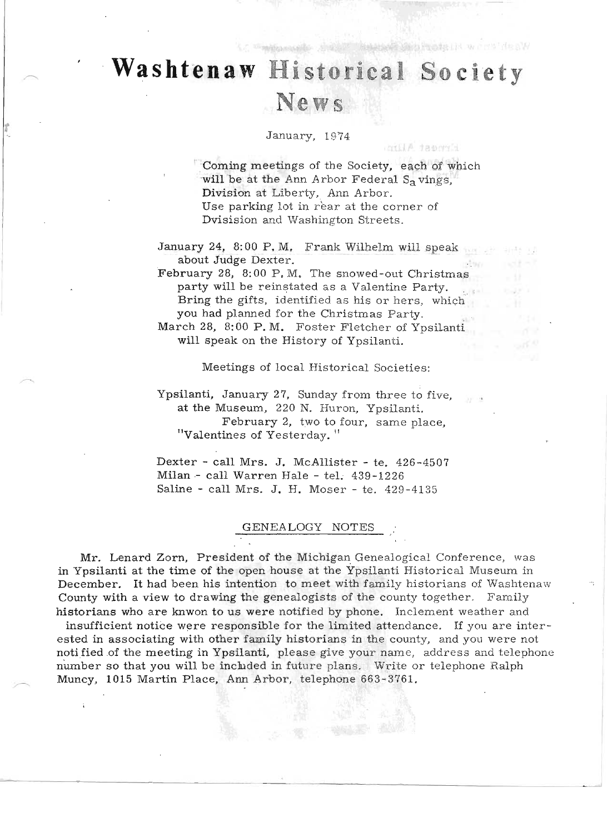# Washtenaw **Historical Society** News

WITH TRAW

#### January, 1974

Coming meetings of the Society, each of which will be at the Ann Arbor Federal S<sub>a</sub> vings, Division at Liberty, Ann Arbor. Use parking lot in rear at the corner of Dvisision and Washington Streets.

antil A laporti

January 24, 8: 00 P. M. Frank Wilhelm will speak about Judge Dexter. .

February 28, 8:00 P.M. The snowed-out Christmas party will be reinstated as a Valentine Party. Bring the gifts, identified as his or hers, which you had planned for the Christmas Party.

March 28, 8:00 P.M. Foster Fletcher of Ypsilanti will speak on the History of Ypsilanti.

Meetings of local Historical Societies:

Ypsilanti, January 27, Sunday from three to five, at the Museum, 220 N. Huron, Ypsilanti. February 2, two to four, same place, "Valentines of Yesterday."

Dexter - call Mrs. J. McAllister - te. 426-4507 Milan - call Warren Hale - tel. 439-1226 Saline - call Mrs. J. H. Moser - te. 429-4135

#### GENEALOGY NOTES

Mr. Lenard Zorn, President of the Michigan Genealogical Conference, was in Ypsilanti at the time of the open house at the Ypsilanti Historical Museum in December. It had been his intention to meet with family historians of Washtenaw County with a view to drawing the genealogists of the county together. Family historians who are knwon to us were notified by phone. Inclement weather and

insufficient notice were responsible for the limited attendance. If you are interested in associating with other family historians in the county, and you were not notified of the meeting in Ypsilanti, please give your name, address and telephone number so that you will be included in future plans. Write or telephone Ralph Muncy, 1015 Martin Place, Ann Arbor, telephone 663-3761.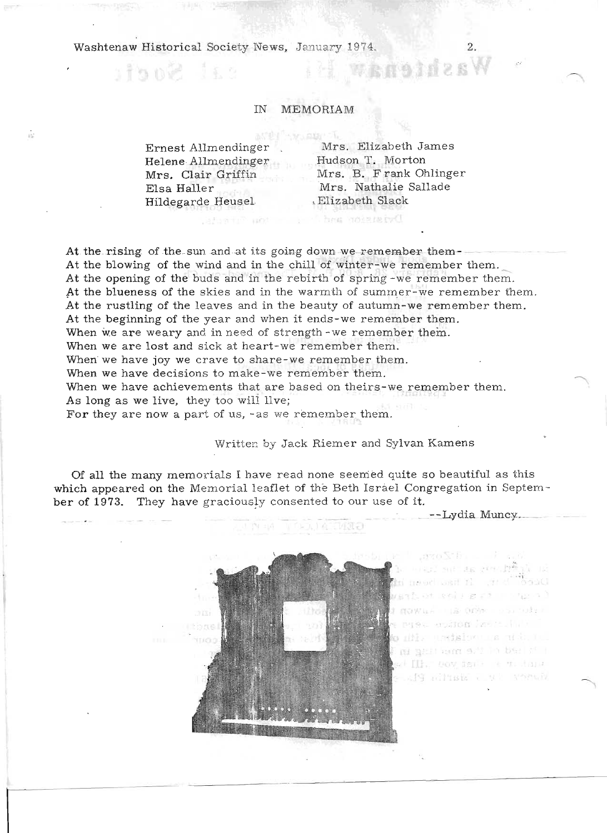sal Socia

άċ

#### MEMORIAM **IN**

Ernest Allmendinger Helene Allmendinger Mrs. Clair Griffin Elsa Haller Hildegarde Heusel

**SASSED BOY** 

Mrs. Elizabeth James Hudson T. Morton Mrs. B. Frank Ohlinger Mrs. Nathalie Sallade Elizabeth Slack

#### Dyistron and Juni

At the rising of the sun and at its going down we remember them-At the blowing of the wind and in the chill of winter-we remember them. At the opening of the buds and in the rebirth of spring-we remember them. At the blueness of the skies and in the warmth of summer-we remember them. At the rustling of the leaves and in the beauty of autumn-we remember them. At the beginning of the year and when it ends-we remember them. When we are weary and in need of strength-we remember them. When we are lost and sick at heart-we remember them. When we have joy we crave to share-we remember them. When we have decisions to make-we remember them. When we have achievements that are based on theirs-we remember them. As long as we live, they too will llve; For they are now a part of us, -as we remember them.

### Written by Jack Riemer and Sylvan Kamens

GENT AL

Of all the many memorials I have read none seemed quite so beautiful as this which appeared on the Memorial leaflet of the Beth Israel Congregation in September of 1973. They have graciously consented to our use of it.



Sit as multi eoligere mongon () Là Orix con tuire ston laste. He t medaiovo una misb. It ni gali anni 9/2 in ball i' i et Ilk, nov sera e vistana sig all'ista a seria Pla

--Lydia Muncy.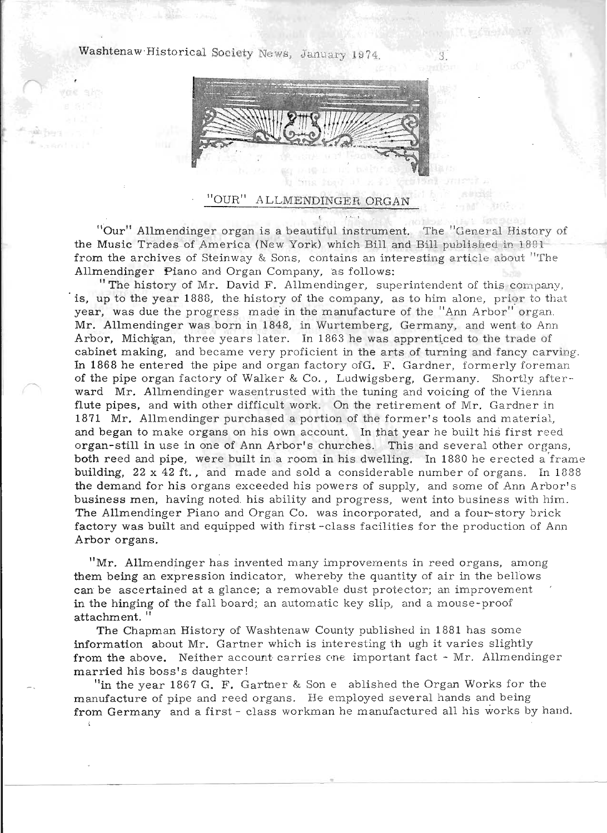

### 'OUR'' ALLMENDINGER ORGAN

"Our" Allmendinger organ is a beautiful instrument. The "General History of the Music Trades of America (New York) which Bill and Bill published in 1891 from the archives of Steinway & Sons, contains an interesting article about "The Allmendinger Piano and Organ Company, as follows:

"The history of Mr. David F. Allmendinger, superintendent of this company, is, up to the year 1888, the history of the company, as to him alone, prior to that year, was due the progress made in the manufacture of the "Ann Arbor" organ. Mr. Allmendinger was born in 1848, in Wurtemberg, Germany, and went to Ann Arbor, Michigan, three years later. In 1863 he was apprenticed to the trade of cabinet making, and became very proficient in the arts of turning and fancy carving. In 1868 he entered the pipe and organ factory ofG. F. Gardner, formerly foreman of the pipe organ factory of Walker & Co., Ludwigsberg, Germany. Shortly afterward Mr. Allmendinger wasentrusted with the tuning and voicing of the Vienna flute pipes, and with other difficult work. On the retirement of Mr. Gardner in 1871 Mr. Allmendinger purchased a portion of the former's tools and material, and began to make organs on his own account. In that year he built his first reed organ-still in use in one of Ann Arbor's churches. This and several other organs, both reed and pipe, were built in a room in his dwelling. In 1880 he erected a frame building, 22 x 42 ft., and made and sold a considerable number of organs. In 1888 the demand for his organs exceeded his powers of supply, and some of Ann Arbor's business men, having noted. his ability and progress, went into business with him . The Allmendinger Piano and Organ Co. was incorporated, and a four-story brick factory was built and equipped with first-class facilities for the production of Ann Arbor organs. .

"Mr. Allmendinger has invented many improvements in reed organs, among them being an expression indicator, whereby the quantity of air in the bellows can be ascertained at a glance; a removable dust protector; an improvement in the hinging of the fall board; an automatic key slip, and a mouse-proof attachment. "

The Chapman History of Washtenaw County published in 1881 has some information about Mr. Gartner which is interesting th ugh it varies slightly from the above. Neither account carries one important fact - Mr. Allmendinger married his boss's daughter!

"in the year 1867 G. F. Gartner & Son e ablished the Organ Works for the manufacture of pipe and reed organs. He employed several hands and being from Germany and a first - class workman he manufactured all his works by hand.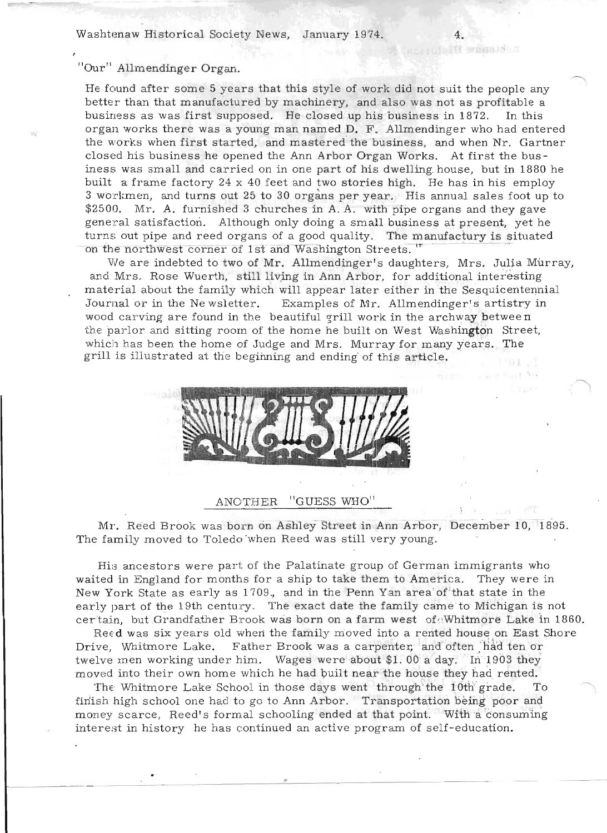rotal T wake Hes

## "Our" Allmendinger Organ.

He found after some 5 years that this style of work did not suit the people any better than that manufactured by machinery, and also was not as profitable a business as was first supposed. He closed up his business in 1872. In this organ works there was a young man named D. F. Allmendinger who had entered the works when first started, and mastered the business, and when Nr. Gartner closed his business he opened the Ann Arbor Organ Works. At first the business was small and carried on in one part of his dwelling. house, but in 1880 he built a frame factory 24 x 40 feet and two stories high. He has in his employ 3 workmen, and turns out 25 to 30 organs per year. His annual sales foot up to \$2500. Mr. A. furnished 3 churches in A.A. with pipe organs and they gave general satisfaction. Although only doing a small business at present, yet he turns out pipe and reed organs of a good quality. The manufactury is situated on the northwest corner of 1st and Washington Streets.<sup>"</sup>

We are indebted to two of Mr. Allmendinger's daughters, Mrs. Julia Murray, and Mrs. Rose Wuerth, still living in Ann Arbor, for additional interesting material about the family which will appear later either in the Sesquicentennial Journal or in the Ne wsletter. Examples of Mr. Allmendinger's artistry in wood carving are found in the beautiful grill work in the archway between the parlor and sitting room of the home he built on West Washington Street, which has been the home of Judge and Mrs. Murray for many years. The grill is illustrated at the beginning and ending' of this article. .



#### ANOTHER "GUESS WHO"

Mr. Reed Brook was born on Ashley Street in Ann Arbor, December 10, 1895. The family moved to Toledo when Reed was still very young.

His ancestors were part of the Palatinate group of German immigrants who waited in England for months for a ship to take them to America. They were in New York State as early as 1709., and in the Penn Yan area of'that state in the early part of the 19th century. The exact date the family came to Michigan is not certain, but Grandfather Brook was born on a farm west of Whitmore Lake in 1860.

Reed was six years old when the family moved into a rented house on East Shore Drive, Whitmore Lake. Father Brook was a carpenter, and often had ten or twelve men working under him. Wages were about \$1.00 a day. In 1903 they moved into their own home which he had built near the house they had rented.

The Whitmore Lake School in those days went through the 10th grade. finish high school one had to go to Ann Arbor. Transportation being poor and money scarce, Reed's formal schooling ended at that point. With a consuming interest in history he has continued an active program of self-education.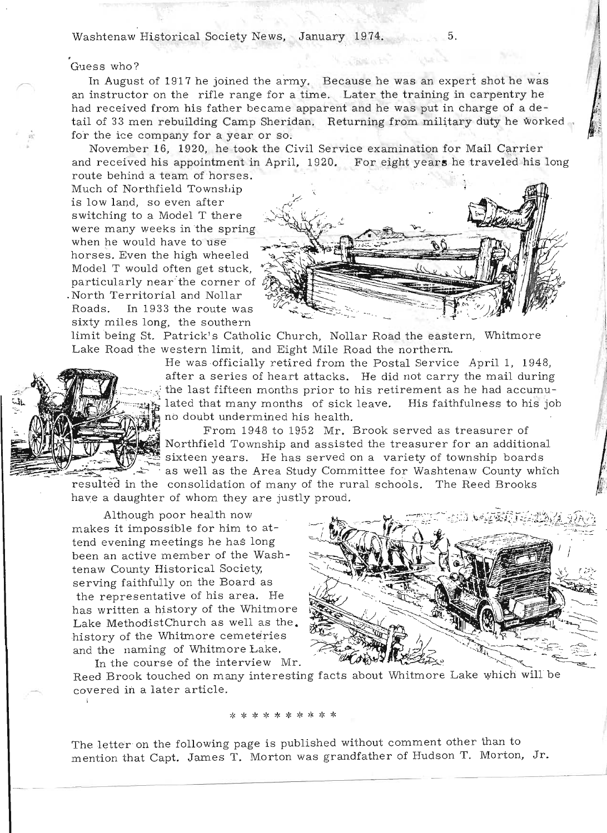.. .'

Guess who?<br>In August of 1917 he joined the army. Because he was an expert shot he was an instructor on the rifle range for a time. Later the training in carpentry he had received from his father became apparent and he was put in charge of a detail of 33 men rebuilding Camp Sheridan. Returning from military duty he worked for the ice company for a year or so.

November 16, 1920, he took the Civil Service examination for Mail Carrier and received his appointment in April, 1920. For eight year, he traveled his long nd received his appointment in<br>oute behind a team of borses.

route behind a team of horses.<br>Much of Northfield Township is low land, so even after switching to a Model T there witching to a model 1 there  $\frac{1}{3}$ ere many weeks in the spr when he would have to use<br>horses. Even the high wheeled Model Twould often get stuck, particularly near' the corner of particularly near the corner of<br>North Territorial and Nollar or in Territorial and Nonai Roads. In 1933 the route was<br>sixty miles long, the southern



limit being St. Patrick's Catholic Church, Nollar Road the eastern, Whitmore Lake Road the western limit, and Eight Mile Road the northern.



He was officially retired from the Postal Service April 1, 1948, after a series of heart attacks. He did not carry the mail during after a series of heart attacks. He did not carry the mail during<br>The last fifteen months prior to his retirement as he had accumu-. lated that many months of sick leave. His faithfulness to his job lated that many months of sick leave.<br>no doubt undermined his health.

> From 1948 to 1952 Mr. Brook served as treasurer of Northfield Township and assisted the treasurer for an additional sixteen years. He has served on a variety of township boards as well as the Area Study Committee for Washtenaw County which

resulted in the consolidation of many of the rural schools. The Reed Brooks have a daughter of whom they are justly proud.

Although poor health now makes it impossible for him to attend evening meetings he has long been an active member of the Washtenaw County Historical Society; serving faithfully on the Board as the representative of his area. He has written a history of the Whitmore Lake MethodistChurch as well as the. history of the Whitmore cemeteries and the naming of Whitmore Lake. In the course of the interview Mr.



Reed Brook touched on many interesting facts about Whitmore Lake which will be covered in a later article.

\* \* \* \* \* \* \* \* \* \*

The letter on the following page is published without comment other than to mention that Capt. James T. Morton was grandfather of Hudson T. Morton, Jr.